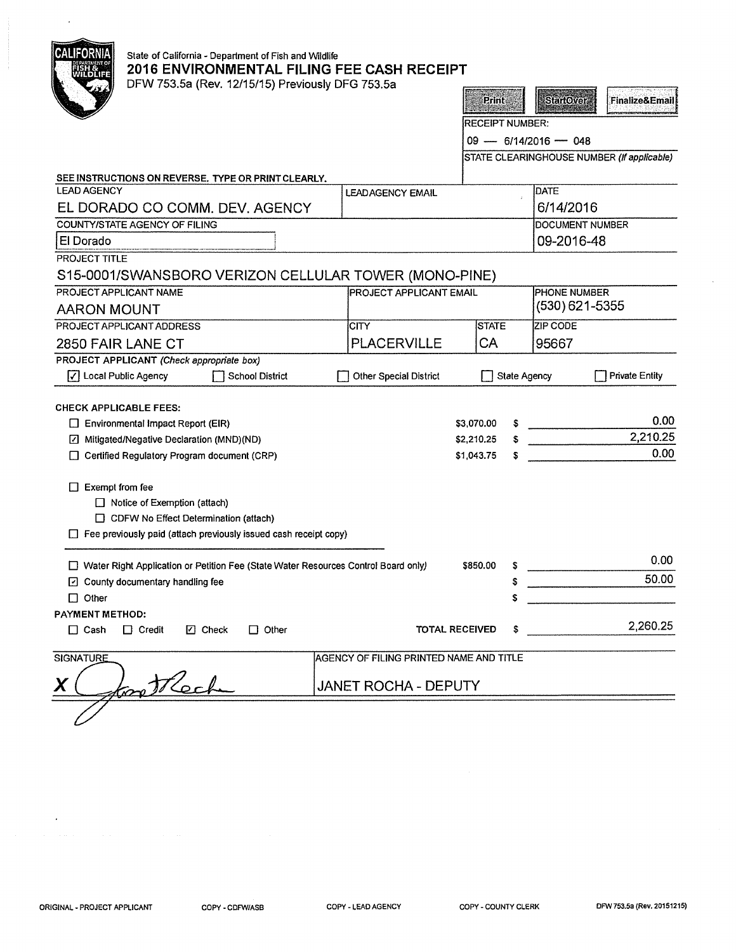| <b>CALIFORNIA</b><br>State of California - Department of Fish and Wildlife<br>2016 ENVIRONMENTAL FILING FEE CASH RECEIPT<br>DFW 753.5a (Rev. 12/15/15) Previously DFG 753.5a |                                         |            |                        |                        |                                            |
|------------------------------------------------------------------------------------------------------------------------------------------------------------------------------|-----------------------------------------|------------|------------------------|------------------------|--------------------------------------------|
|                                                                                                                                                                              |                                         |            | <b>Print</b>           | <b>StartOver</b>       | <b>Finalize&amp;Email</b>                  |
|                                                                                                                                                                              |                                         |            | <b>RECEIPT NUMBER:</b> |                        |                                            |
|                                                                                                                                                                              |                                         |            |                        | $09 - 6/14/2016 - 048$ |                                            |
|                                                                                                                                                                              |                                         |            |                        |                        | STATE CLEARINGHOUSE NUMBER (If applicable) |
|                                                                                                                                                                              |                                         |            |                        |                        |                                            |
| SEE INSTRUCTIONS ON REVERSE. TYPE OR PRINT CLEARLY.<br><b>LEAD AGENCY</b>                                                                                                    | <b>LEADAGENCY EMAIL</b>                 |            |                        | <b>DATE</b>            |                                            |
| EL DORADO CO COMM. DEV. AGENCY                                                                                                                                               |                                         |            |                        | 6/14/2016              |                                            |
| <b>COUNTY/STATE AGENCY OF FILING</b>                                                                                                                                         |                                         |            |                        | DOCUMENT NUMBER        |                                            |
| El Dorado                                                                                                                                                                    |                                         |            |                        | 09-2016-48             |                                            |
| PROJECT TITLE                                                                                                                                                                |                                         |            |                        |                        |                                            |
| S15-0001/SWANSBORO VERIZON CELLULAR TOWER (MONO-PINE)                                                                                                                        |                                         |            |                        |                        |                                            |
| PROJECT APPLICANT NAME                                                                                                                                                       | <b>PROJECT APPLICANT EMAIL</b>          |            |                        | PHONE NUMBER           |                                            |
| <b>AARON MOUNT</b>                                                                                                                                                           |                                         |            |                        | $(530)$ 621-5355       |                                            |
| <b>PROJECT APPLICANT ADDRESS</b>                                                                                                                                             | CITY                                    |            | <b>STATE</b>           | ZIP CODE               |                                            |
| 2850 FAIR LANE CT                                                                                                                                                            | <b>PLACERVILLE</b>                      | CA         |                        | 95667                  |                                            |
| PROJECT APPLICANT (Check appropriate box)                                                                                                                                    |                                         |            |                        |                        |                                            |
| √ Local Public Agency<br><b>School District</b>                                                                                                                              | <b>Other Special District</b>           |            | <b>State Agency</b>    |                        | <b>Private Entity</b>                      |
|                                                                                                                                                                              |                                         |            |                        |                        |                                            |
| <b>CHECK APPLICABLE FEES:</b>                                                                                                                                                |                                         |            |                        |                        |                                            |
| $\Box$ Environmental Impact Report (EIR)                                                                                                                                     |                                         | \$3,070.00 |                        |                        | 0.00                                       |
| Mitigated/Negative Declaration (MND)(ND)                                                                                                                                     |                                         | \$2,210.25 |                        |                        | 2,210.25                                   |
| □ Certified Regulatory Program document (CRP)                                                                                                                                |                                         | \$1,043.75 |                        |                        | 0.00                                       |
|                                                                                                                                                                              |                                         |            |                        |                        |                                            |
| $\Box$ Exempt from fee<br>$\Box$ Notice of Exemption (attach)                                                                                                                |                                         |            |                        |                        |                                            |
| $\Box$ CDFW No Effect Determination (attach)                                                                                                                                 |                                         |            |                        |                        |                                            |
| $\Box$ Fee previously paid (attach previously issued cash receipt copy)                                                                                                      |                                         |            |                        |                        |                                            |
|                                                                                                                                                                              |                                         |            |                        |                        |                                            |
| □ Water Right Application or Petition Fee (State Water Resources Control Board only)                                                                                         |                                         | \$850.00   | s                      |                        | 0.00                                       |
| □ County documentary handling fee                                                                                                                                            |                                         |            | s                      |                        | 50.00                                      |
| $\Box$ Other                                                                                                                                                                 |                                         |            |                        |                        |                                            |
| PAYMENT METHOD:                                                                                                                                                              |                                         |            |                        |                        |                                            |
| $\Box$ Cash<br>$\Box$ Credit<br>$\Box$ Check<br>$\Box$ Other                                                                                                                 | <b>TOTAL RECEIVED</b>                   |            | S                      |                        | 2,260.25                                   |
| <b>SIGNATURE</b>                                                                                                                                                             | AGENCY OF FILING PRINTED NAME AND TITLE |            |                        |                        |                                            |
| X                                                                                                                                                                            | <b>JANET ROCHA - DEPUTY</b>             |            |                        |                        |                                            |
|                                                                                                                                                                              |                                         |            |                        |                        |                                            |

 $\epsilon$ 

 $\hat{\mathcal{A}}$ 

 $\bar{\mathcal{A}}$